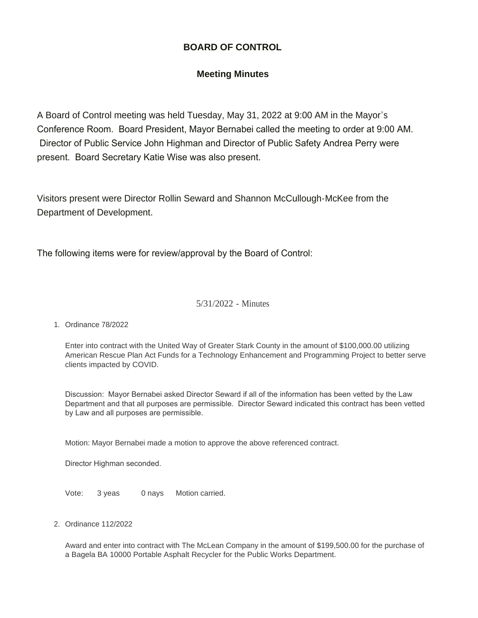## **BOARD OF CONTROL**

## **Meeting Minutes**

A Board of Control meeting was held Tuesday, May 31, 2022 at 9:00 AM in the Mayor's Conference Room. Board President, Mayor Bernabei called the meeting to order at 9:00 AM. Director of Public Service John Highman and Director of Public Safety Andrea Perry were present. Board Secretary Katie Wise was also present.

Visitors present were Director Rollin Seward and Shannon McCullough-McKee from the Department of Development.

The following items were for review/approval by the Board of Control:

### 5/31/2022 - Minutes

Ordinance 78/2022 1.

Enter into contract with the United Way of Greater Stark County in the amount of \$100,000.00 utilizing American Rescue Plan Act Funds for a Technology Enhancement and Programming Project to better serve clients impacted by COVID.

Discussion: Mayor Bernabei asked Director Seward if all of the information has been vetted by the Law Department and that all purposes are permissible. Director Seward indicated this contract has been vetted by Law and all purposes are permissible.

Motion: Mayor Bernabei made a motion to approve the above referenced contract.

Director Highman seconded.

Vote: 3 yeas 0 nays Motion carried.

Ordinance 112/2022 2.

Award and enter into contract with The McLean Company in the amount of \$199,500.00 for the purchase of a Bagela BA 10000 Portable Asphalt Recycler for the Public Works Department.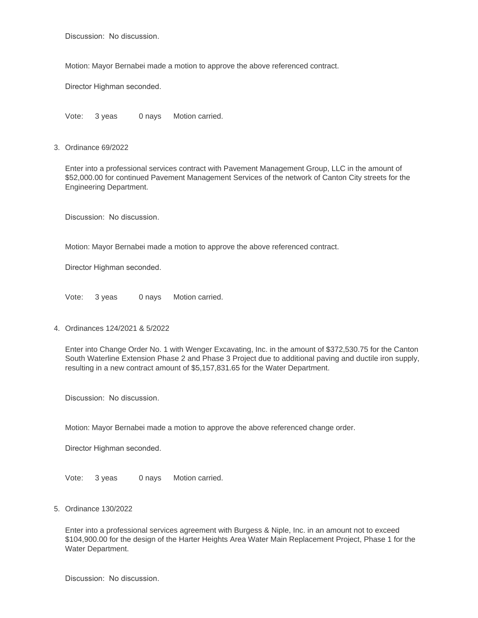Discussion: No discussion.

Motion: Mayor Bernabei made a motion to approve the above referenced contract.

Director Highman seconded.

Vote: 3 yeas 0 nays Motion carried.

Ordinance 69/2022 3.

Enter into a professional services contract with Pavement Management Group, LLC in the amount of \$52,000.00 for continued Pavement Management Services of the network of Canton City streets for the Engineering Department.

Discussion: No discussion.

Motion: Mayor Bernabei made a motion to approve the above referenced contract.

Director Highman seconded.

Vote: 3 yeas 0 nays Motion carried.

Ordinances 124/2021 & 5/2022 4.

Enter into Change Order No. 1 with Wenger Excavating, Inc. in the amount of \$372,530.75 for the Canton South Waterline Extension Phase 2 and Phase 3 Project due to additional paving and ductile iron supply, resulting in a new contract amount of \$5,157,831.65 for the Water Department.

Discussion: No discussion.

Motion: Mayor Bernabei made a motion to approve the above referenced change order.

Director Highman seconded.

Vote: 3 yeas 0 nays Motion carried.

Ordinance 130/2022 5.

Enter into a professional services agreement with Burgess & Niple, Inc. in an amount not to exceed \$104,900.00 for the design of the Harter Heights Area Water Main Replacement Project, Phase 1 for the Water Department.

Discussion: No discussion.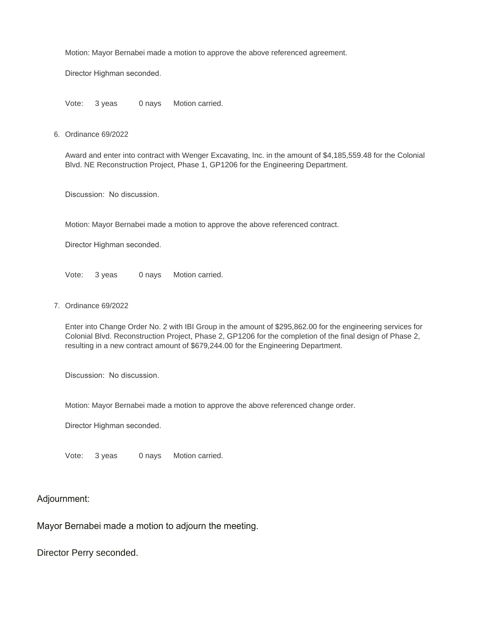Motion: Mayor Bernabei made a motion to approve the above referenced agreement.

Director Highman seconded.

Vote: 3 yeas 0 nays Motion carried.

6. Ordinance 69/2022

Award and enter into contract with Wenger Excavating, Inc. in the amount of \$4,185,559.48 for the Colonial Blvd. NE Reconstruction Project, Phase 1, GP1206 for the Engineering Department.

Discussion: No discussion.

Motion: Mayor Bernabei made a motion to approve the above referenced contract.

Director Highman seconded.

Vote: 3 yeas 0 nays Motion carried.

7. Ordinance 69/2022

Enter into Change Order No. 2 with IBI Group in the amount of \$295,862.00 for the engineering services for Colonial Blvd. Reconstruction Project, Phase 2, GP1206 for the completion of the final design of Phase 2, resulting in a new contract amount of \$679,244.00 for the Engineering Department.

Discussion: No discussion.

Motion: Mayor Bernabei made a motion to approve the above referenced change order.

Director Highman seconded.

Vote: 3 yeas 0 nays Motion carried.

#### Adjournment:

Mayor Bernabei made a motion to adjourn the meeting.

Director Perry seconded.